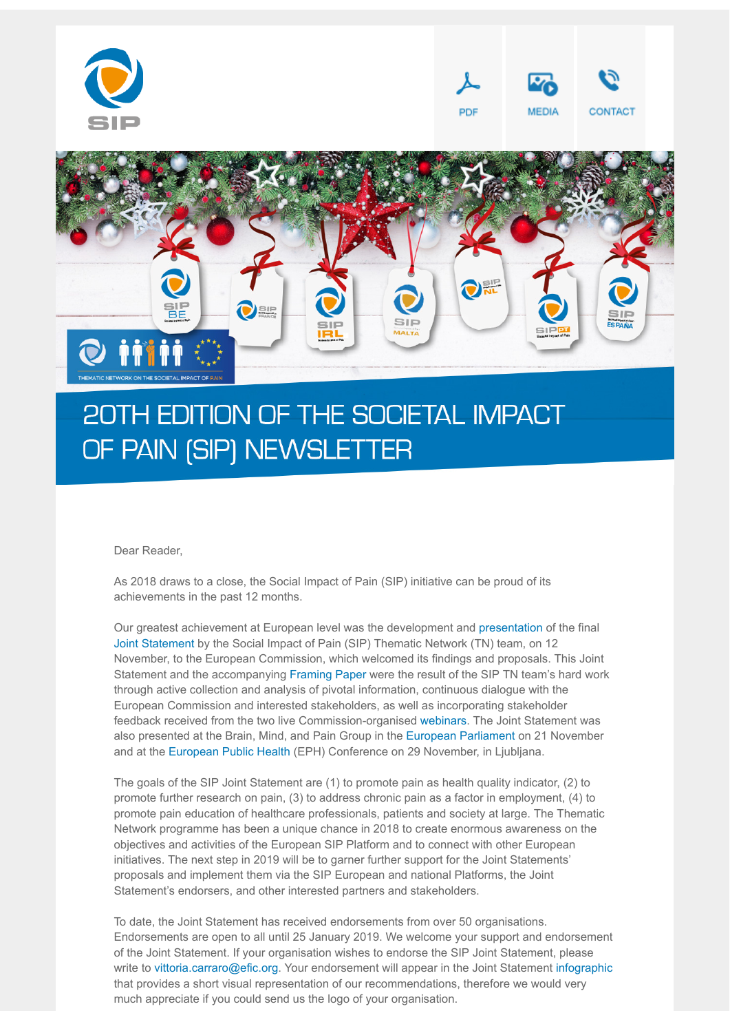

# 20TH EDITION OF THE SOCIETAL IMPACT OF PAIN (SIP) NEWSLETTER

#### Dear Reader,

As 2018 draws to a close, the Social Impact of Pain (SIP) initiative can be proud of its achievements in the past 12 months.

Our greatest achievement at European level was the development and [presentation](http://p.n2g30.com/iqxtkacz-gibfb0av-ap5coaoy-13yq) of the final [Joint Statement](http://p.n2g30.com/iqxtkacz-gibfb0av-gi1b6iwn-knm) by the Social Impact of Pain (SIP) Thematic Network (TN) team, on 12 November, to the European Commission, which welcomed its findings and proposals. This Joint Statement and the accompanying [Framing Paper](http://p.n2g30.com/iqxtkacz-gibfb0av-iu67j6x3-bcd) were the result of the SIP TN team's hard work through active collection and analysis of pivotal information, continuous dialogue with the European Commission and interested stakeholders, as well as incorporating stakeholder feedback received from the two live Commission-organised [webinars](http://p.n2g30.com/iqxtkacz-gibfb0av-lynaxy2r-crk). The Joint Statement was also presented at the Brain, Mind, and Pain Group in the [European Parliament](http://p.n2g30.com/iqxtkacz-gibfb0av-qzwxny0i-6iy) on 21 November and at the [European Public Health](http://p.n2g30.com/iqxtkacz-gibfb0av-ur2xgq06-obr) (EPH) Conference on 29 November, in Ljubljana.

The goals of the SIP Joint Statement are (1) to promote pain as health quality indicator, (2) to promote further research on pain, (3) to address chronic pain as a factor in employment, (4) to promote pain education of healthcare professionals, patients and society at large. The Thematic Network programme has been a unique chance in 2018 to create enormous awareness on the objectives and activities of the European SIP Platform and to connect with other European initiatives. The next step in 2019 will be to garner further support for the Joint Statements' proposals and implement them via the SIP European and national Platforms, the Joint Statement's endorsers, and other interested partners and stakeholders.

To date, the Joint Statement has received endorsements from over 50 organisations. Endorsements are open to all until 25 January 2019. We welcome your support and endorsement of the Joint Statement. If your organisation wishes to endorse the SIP Joint Statement, please write to [vittoria.carraro@efic.org.](mailto:vittoria.carraro@efic.org) Your endorsement will appear in the Joint Statement [infographic](http://p.n2g30.com/iqxtkacz-gibfb0av-wqcmd3cm-ymb) that provides a short visual representation of our recommendations, therefore we would very much appreciate if you could send us the logo of your organisation.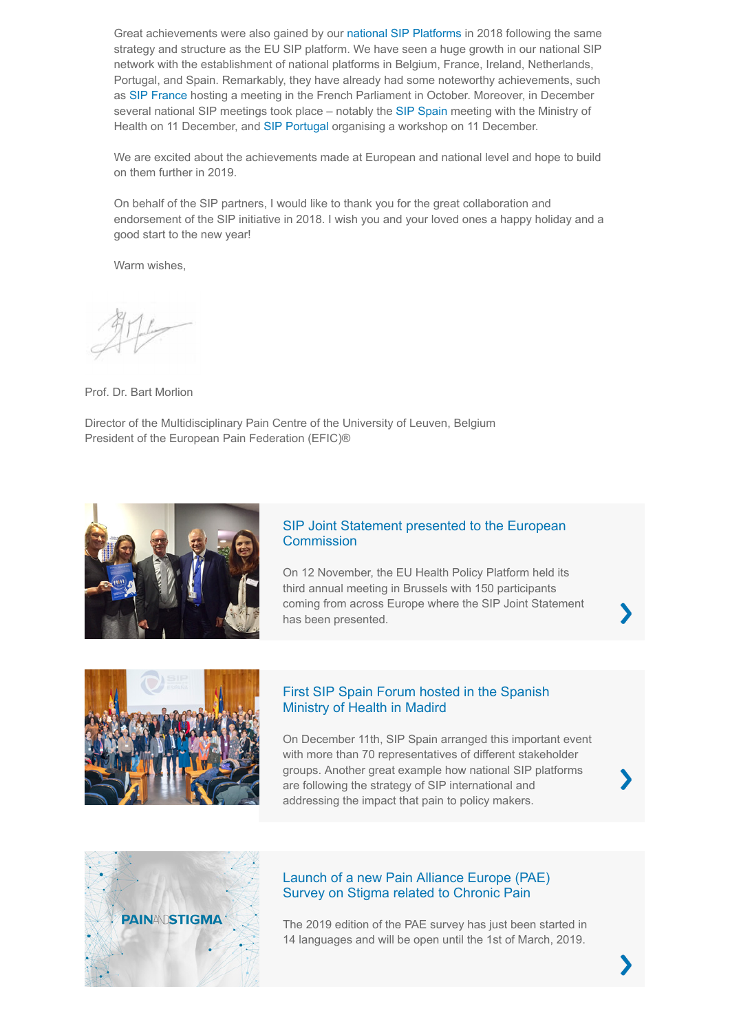Great achievements were also gained by our [national SIP Platforms](http://p.n2g30.com/iqxtkacz-gibfb0av-434j1a6e-1ehn) in 2018 following the same strategy and structure as the EU SIP platform. We have seen a huge growth in our national SIP network with the establishment of national platforms in Belgium, France, Ireland, Netherlands, Portugal, and Spain. Remarkably, they have already had some noteworthy achievements, such as [SIP France](http://p.n2g30.com/iqxtkacz-gibfb0av-9wihmv8y-6nu) hosting a meeting in the French Parliament in October. Moreover, in December several national SIP meetings took place – notably the [SIP Spain](http://p.n2g30.com/iqxtkacz-gibfb0av-ccc9fgyq-s9n) meeting with the Ministry of Health on 11 December, and [SIP Portugal](http://p.n2g30.com/iqxtkacz-gibfb0av-eqwc78s7-o5z) organising a workshop on 11 December.

We are excited about the achievements made at European and national level and hope to build on them further in 2019.

On behalf of the SIP partners, I would like to thank you for the great collaboration and endorsement of the SIP initiative in 2018. I wish you and your loved ones a happy holiday and a good start to the new year!

Warm wishes.

Prof. Dr. Bart Morlion

Director of the Multidisciplinary Pain Centre of the University of Leuven, Belgium President of the European Pain Federation (EFIC)®



### [SIP Joint Statement presented to the European](http://p.n2g30.com/iqxtkacz-gibfb0av-o1lwrzgj-1e3n) **Commission**

On 12 November, the EU Health Policy Platform held its third annual meeting in Brussels with 150 participants coming from across Europe where the SIP Joint Statement has been presented.



#### [First SIP Spain Forum hosted in the Spanish](http://p.n2g30.com/iqxtkacz-gibfb0av-y9kw5kpy-18i5) Ministry of Health in Madird

On December 11th, SIP Spain arranged this important event with more than 70 representatives of different stakeholder groups. Another great example how national SIP platforms are following the strategy of SIP international and addressing the impact that pain to policy makers.





### [Launch of a new Pain Alliance Europe \(PAE\)](http://p.n2g30.com/iqxtkacz-gibfb0av-co5xdk82-1c69) Survey on Stigma related to Chronic Pain

The 2019 edition of the PAE survey has just been started in 14 languages and will be open until the 1st of March, 2019.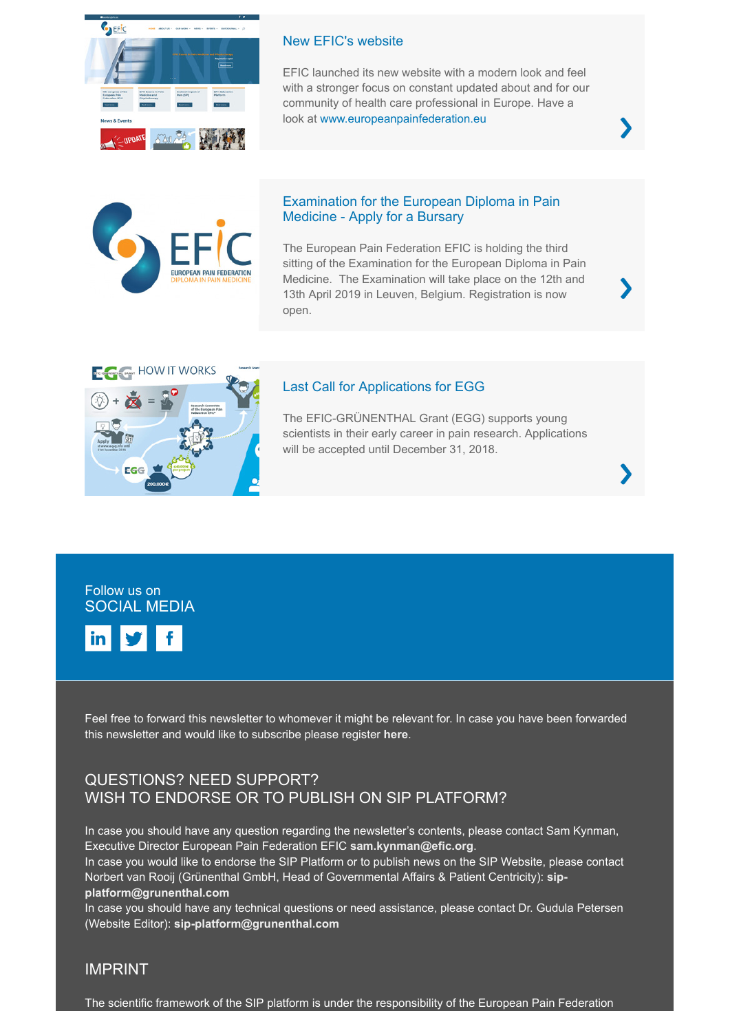

#### [New EFIC's website](http://p.n2g30.com/iqxtkacz-gibfb0av-nxoej2df-qh0)

EFIC launched its new website with a modern look and feel with a stronger focus on constant updated about and for our community of health care professional in Europe. Have a look at [www.europeanpainfederation.eu](http://p.n2g30.com/iqxtkacz-gibfb0av-qvybwstu-1fc)



#### [Examination for the European Diploma in Pain](http://p.n2g30.com/iqxtkacz-gibfb0av-4b1835xi-18ht) Medicine - Apply for a Bursary

The European Pain Federation EFIC is holding the third sitting of the Examination for the European Diploma in Pain Medicine. The Examination will take place on the 12th and 13th April 2019 in Leuven, Belgium. Registration is now open.



#### [Last Call for Applications for EGG](http://p.n2g30.com/iqxtkacz-gibfb0av-euuefctz-1636)

The EFIC-GRÜNENTHAL Grant (EGG) supports young scientists in their early career in pain research. Applications will be accepted until December 31, 2018.





Feel free to forward this newsletter to whomever it might be relevant for. In case you have been forwarded this newsletter and would like to subscribe please register **[here](http://p.n2g30.com/iqxtkacz-gibfb0av-wighb3mu-mx)**.

## QUESTIONS? NEED SUPPORT? WISH TO ENDORSE OR TO PUBLISH ON SIP PLATFORM?

In case you should have any question regarding the newsletter's contents, please contact Sam Kynman, Executive Director European Pain Federation EFIC **[sam.kynman@efic.org](mailto:sam.kynman@efic.org)**. In case you would like to endorse the SIP Platform or to publish news on the SIP Website, please contact [Norbert van Rooij \(Grünenthal GmbH, Head of Governmental Affairs & Patient Centricity\):](mailto:sip-platform@grunenthal.com) **sipplatform@grunenthal.com**

In case you should have any technical questions or need assistance, please contact Dr. Gudula Petersen (Website Editor): **[sip-platform@grunenthal.com](mailto:sip-platform@grunenthal.com)**

#### IMPRINT

The scientific framework of the SIP platform is under the responsibility of the European Pain Federation